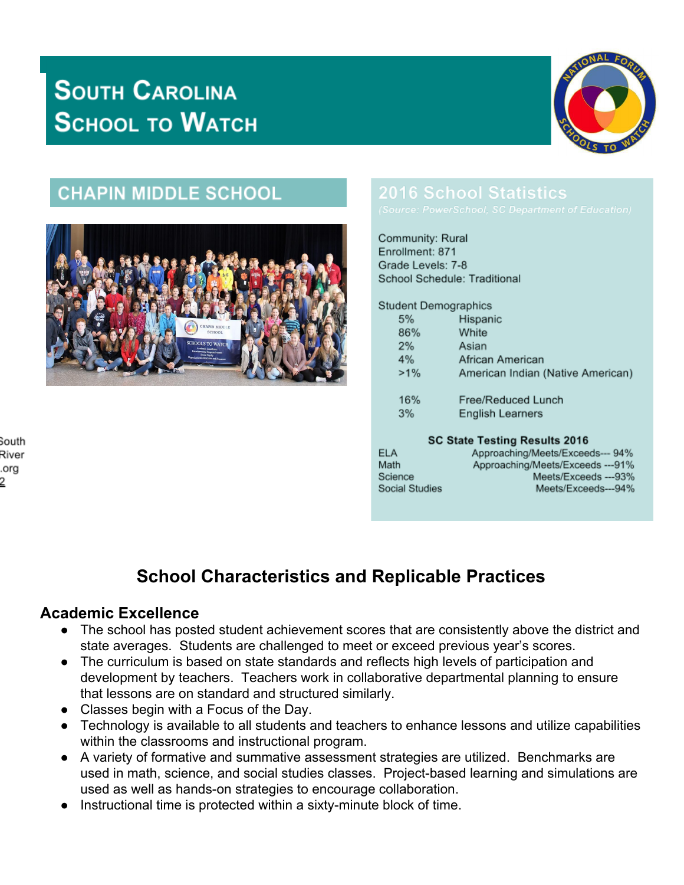# **SOUTH CAROLINA SCHOOL TO WATCH**



# **CHAPIN MIDDLE SCHOOL**



## 2016 School Statistics

Community: Rural Enrollment: 871 Grade Levels: 7-8 School Schedule: Traditional

> 1  $\overline{3}$

| <b>Student Demographics</b> |                                   |
|-----------------------------|-----------------------------------|
| 5%                          | Hispanic                          |
| 86%                         | White                             |
| 2%                          | Asian                             |
| 4%                          | African American                  |
| $>1\%$                      | American Indian (Native American) |
|                             |                                   |

| 6% | Free/Reduced Lunch      |
|----|-------------------------|
| %  | <b>English Learners</b> |

#### **SC State Testing Results 2016**

| ELA            | Approaching/Meets/Exceeds--- 94% |
|----------------|----------------------------------|
| Math           | Approaching/Meets/Exceeds ---91% |
| Science        | Meets/Exceeds ---93%             |
| Social Studies | Meets/Exceeds---94%              |

# **School Characteristics and Replicable Practices**

#### **Academic Excellence**

- The school has posted student achievement scores that are consistently above the district and state averages. Students are challenged to meet or exceed previous year's scores.
- The curriculum is based on state standards and reflects high levels of participation and development by teachers. Teachers work in collaborative departmental planning to ensure that lessons are on standard and structured similarly.
- Classes begin with a Focus of the Day.
- Technology is available to all students and teachers to enhance lessons and utilize capabilities within the classrooms and instructional program.
- A variety of formative and summative assessment strategies are utilized. Benchmarks are used in math, science, and social studies classes. Project-based learning and simulations are used as well as hands-on strategies to encourage collaboration.
- Instructional time is protected within a sixty-minute block of time.

South River .org 2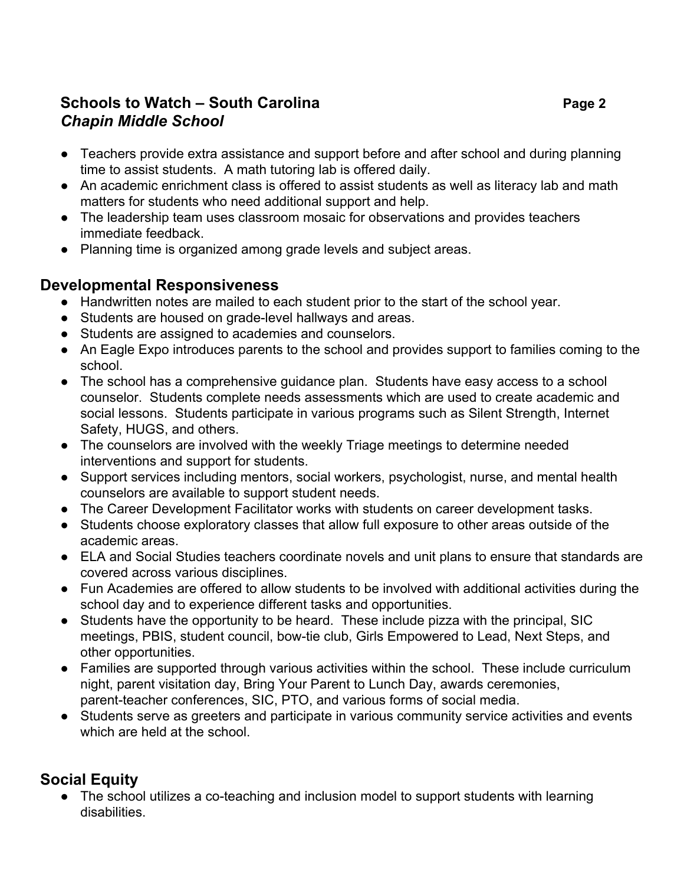#### **Schools to Watch – South Carolina Page 2** *Chapin Middle School*

- Teachers provide extra assistance and support before and after school and during planning time to assist students. A math tutoring lab is offered daily.
- An academic enrichment class is offered to assist students as well as literacy lab and math matters for students who need additional support and help.
- The leadership team uses classroom mosaic for observations and provides teachers immediate feedback.
- Planning time is organized among grade levels and subject areas.

#### **Developmental Responsiveness**

- Handwritten notes are mailed to each student prior to the start of the school year.
- Students are housed on grade-level hallways and areas.
- Students are assigned to academies and counselors.
- An Eagle Expo introduces parents to the school and provides support to families coming to the school.
- The school has a comprehensive guidance plan. Students have easy access to a school counselor. Students complete needs assessments which are used to create academic and social lessons. Students participate in various programs such as Silent Strength, Internet Safety, HUGS, and others.
- The counselors are involved with the weekly Triage meetings to determine needed interventions and support for students.
- Support services including mentors, social workers, psychologist, nurse, and mental health counselors are available to support student needs.
- The Career Development Facilitator works with students on career development tasks.
- Students choose exploratory classes that allow full exposure to other areas outside of the academic areas.
- ELA and Social Studies teachers coordinate novels and unit plans to ensure that standards are covered across various disciplines.
- Fun Academies are offered to allow students to be involved with additional activities during the school day and to experience different tasks and opportunities.
- Students have the opportunity to be heard. These include pizza with the principal, SIC meetings, PBIS, student council, bow-tie club, Girls Empowered to Lead, Next Steps, and other opportunities.
- Families are supported through various activities within the school. These include curriculum night, parent visitation day, Bring Your Parent to Lunch Day, awards ceremonies, parent-teacher conferences, SIC, PTO, and various forms of social media.
- Students serve as greeters and participate in various community service activities and events which are held at the school.

#### **Social Equity**

● The school utilizes a co-teaching and inclusion model to support students with learning disabilities.